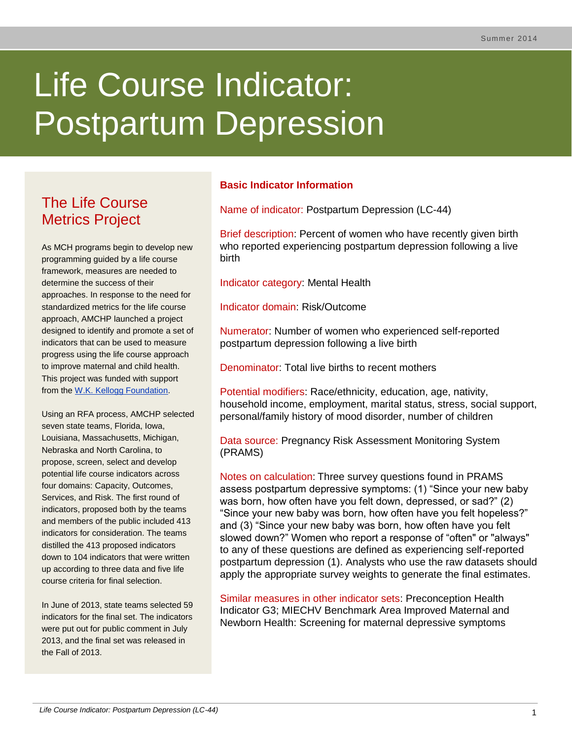# Life Course Indicator: Postpartum Depression

# The Life Course Metrics Project

As MCH programs begin to develop new programming guided by a life course framework, measures are needed to determine the success of their approaches. In response to the need for standardized metrics for the life course approach, AMCHP launched a project designed to identify and promote a set of indicators that can be used to measure progress using the life course approach to improve maternal and child health. This project was funded with support from the [W.K. Kellogg Foundation.](http://www.wkkf.org/)

Using an RFA process, AMCHP selected seven state teams, Florida, Iowa, Louisiana, Massachusetts, Michigan, Nebraska and North Carolina, to propose, screen, select and develop potential life course indicators across four domains: Capacity, Outcomes, Services, and Risk. The first round of indicators, proposed both by the teams and members of the public included 413 indicators for consideration. The teams distilled the 413 proposed indicators down to 104 indicators that were written up according to three data and five life course criteria for final selection.

In June of 2013, state teams selected 59 indicators for the final set. The indicators were put out for public comment in July 2013, and the final set was released in the Fall of 2013.

## **Basic Indicator Information**

Name of indicator: Postpartum Depression (LC-44)

Brief description: Percent of women who have recently given birth who reported experiencing postpartum depression following a live birth

Indicator category: Mental Health

Indicator domain: Risk/Outcome

Numerator: Number of women who experienced self-reported postpartum depression following a live birth

Denominator: Total live births to recent mothers

Potential modifiers: Race/ethnicity, education, age, nativity, household income, employment, marital status, stress, social support, personal/family history of mood disorder, number of children

Data source: Pregnancy Risk Assessment Monitoring System (PRAMS)

Notes on calculation: Three survey questions found in PRAMS assess postpartum depressive symptoms: (1) "Since your new baby was born, how often have you felt down, depressed, or sad?" (2) "Since your new baby was born, how often have you felt hopeless?" and (3) "Since your new baby was born, how often have you felt slowed down?" Women who report a response of "often" or "always" to any of these questions are defined as experiencing self-reported postpartum depression (1). Analysts who use the raw datasets should apply the appropriate survey weights to generate the final estimates.

Similar measures in other indicator sets: Preconception Health Indicator G3; MIECHV Benchmark Area Improved Maternal and Newborn Health: Screening for maternal depressive symptoms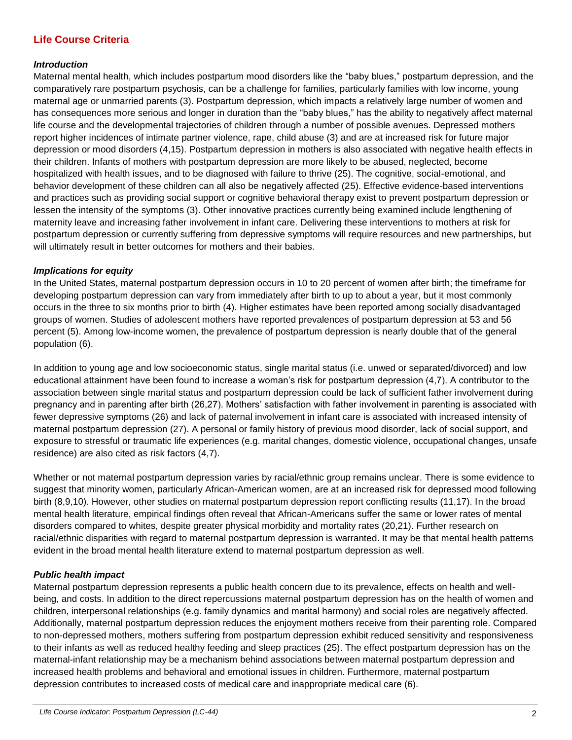### **Life Course Criteria**

#### *Introduction*

Maternal mental health, which includes postpartum mood disorders like the "baby blues," postpartum depression, and the comparatively rare postpartum psychosis, can be a challenge for families, particularly families with low income, young maternal age or unmarried parents (3). Postpartum depression, which impacts a relatively large number of women and has consequences more serious and longer in duration than the "baby blues," has the ability to negatively affect maternal life course and the developmental trajectories of children through a number of possible avenues. Depressed mothers report higher incidences of intimate partner violence, rape, child abuse (3) and are at increased risk for future major depression or mood disorders (4,15). Postpartum depression in mothers is also associated with negative health effects in their children. Infants of mothers with postpartum depression are more likely to be abused, neglected, become hospitalized with health issues, and to be diagnosed with failure to thrive (25). The cognitive, social-emotional, and behavior development of these children can all also be negatively affected (25). Effective evidence-based interventions and practices such as providing social support or cognitive behavioral therapy exist to prevent postpartum depression or lessen the intensity of the symptoms (3). Other innovative practices currently being examined include lengthening of maternity leave and increasing father involvement in infant care. Delivering these interventions to mothers at risk for postpartum depression or currently suffering from depressive symptoms will require resources and new partnerships, but will ultimately result in better outcomes for mothers and their babies.

#### *Implications for equity*

In the United States, maternal postpartum depression occurs in 10 to 20 percent of women after birth; the timeframe for developing postpartum depression can vary from immediately after birth to up to about a year, but it most commonly occurs in the three to six months prior to birth (4). Higher estimates have been reported among socially disadvantaged groups of women. Studies of adolescent mothers have reported prevalences of postpartum depression at 53 and 56 percent (5). Among low-income women, the prevalence of postpartum depression is nearly double that of the general population (6).

In addition to young age and low socioeconomic status, single marital status (i.e. unwed or separated/divorced) and low educational attainment have been found to increase a woman's risk for postpartum depression (4,7). A contributor to the association between single marital status and postpartum depression could be lack of sufficient father involvement during pregnancy and in parenting after birth (26,27). Mothers' satisfaction with father involvement in parenting is associated with fewer depressive symptoms (26) and lack of paternal involvement in infant care is associated with increased intensity of maternal postpartum depression (27). A personal or family history of previous mood disorder, lack of social support, and exposure to stressful or traumatic life experiences (e.g. marital changes, domestic violence, occupational changes, unsafe residence) are also cited as risk factors (4,7).

Whether or not maternal postpartum depression varies by racial/ethnic group remains unclear. There is some evidence to suggest that minority women, particularly African-American women, are at an increased risk for depressed mood following birth (8,9,10). However, other studies on maternal postpartum depression report conflicting results (11,17). In the broad mental health literature, empirical findings often reveal that African-Americans suffer the same or lower rates of mental disorders compared to whites, despite greater physical morbidity and mortality rates (20,21). Further research on racial/ethnic disparities with regard to maternal postpartum depression is warranted. It may be that mental health patterns evident in the broad mental health literature extend to maternal postpartum depression as well.

#### *Public health impact*

Maternal postpartum depression represents a public health concern due to its prevalence, effects on health and wellbeing, and costs. In addition to the direct repercussions maternal postpartum depression has on the health of women and children, interpersonal relationships (e.g. family dynamics and marital harmony) and social roles are negatively affected. Additionally, maternal postpartum depression reduces the enjoyment mothers receive from their parenting role. Compared to non-depressed mothers, mothers suffering from postpartum depression exhibit reduced sensitivity and responsiveness to their infants as well as reduced healthy feeding and sleep practices (25). The effect postpartum depression has on the maternal-infant relationship may be a mechanism behind associations between maternal postpartum depression and increased health problems and behavioral and emotional issues in children. Furthermore, maternal postpartum depression contributes to increased costs of medical care and inappropriate medical care (6).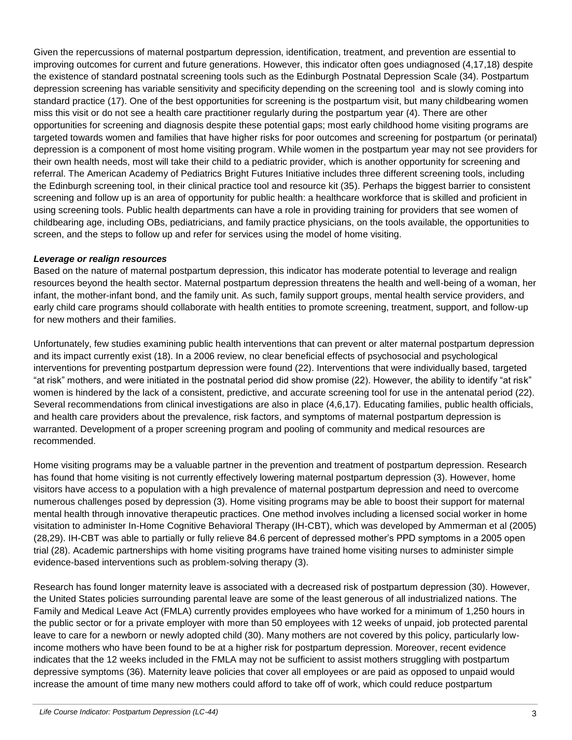Given the repercussions of maternal postpartum depression, identification, treatment, and prevention are essential to improving outcomes for current and future generations. However, this indicator often goes undiagnosed (4,17,18) despite the existence of standard postnatal screening tools such as the Edinburgh Postnatal Depression Scale (34). Postpartum depression screening has variable sensitivity and specificity depending on the screening tool and is slowly coming into standard practice (17). One of the best opportunities for screening is the postpartum visit, but many childbearing women miss this visit or do not see a health care practitioner regularly during the postpartum year (4). There are other opportunities for screening and diagnosis despite these potential gaps; most early childhood home visiting programs are targeted towards women and families that have higher risks for poor outcomes and screening for postpartum (or perinatal) depression is a component of most home visiting program. While women in the postpartum year may not see providers for their own health needs, most will take their child to a pediatric provider, which is another opportunity for screening and referral. The American Academy of Pediatrics Bright Futures Initiative includes three different screening tools, including the Edinburgh screening tool, in their clinical practice tool and resource kit (35). Perhaps the biggest barrier to consistent screening and follow up is an area of opportunity for public health: a healthcare workforce that is skilled and proficient in using screening tools. Public health departments can have a role in providing training for providers that see women of childbearing age, including OBs, pediatricians, and family practice physicians, on the tools available, the opportunities to screen, and the steps to follow up and refer for services using the model of home visiting.

#### *Leverage or realign resources*

Based on the nature of maternal postpartum depression, this indicator has moderate potential to leverage and realign resources beyond the health sector. Maternal postpartum depression threatens the health and well-being of a woman, her infant, the mother-infant bond, and the family unit. As such, family support groups, mental health service providers, and early child care programs should collaborate with health entities to promote screening, treatment, support, and follow-up for new mothers and their families.

Unfortunately, few studies examining public health interventions that can prevent or alter maternal postpartum depression and its impact currently exist (18). In a 2006 review, no clear beneficial effects of psychosocial and psychological interventions for preventing postpartum depression were found (22). Interventions that were individually based, targeted "at risk" mothers, and were initiated in the postnatal period did show promise (22). However, the ability to identify "at risk" women is hindered by the lack of a consistent, predictive, and accurate screening tool for use in the antenatal period (22). Several recommendations from clinical investigations are also in place (4,6,17). Educating families, public health officials, and health care providers about the prevalence, risk factors, and symptoms of maternal postpartum depression is warranted. Development of a proper screening program and pooling of community and medical resources are recommended.

Home visiting programs may be a valuable partner in the prevention and treatment of postpartum depression. Research has found that home visiting is not currently effectively lowering maternal postpartum depression (3). However, home visitors have access to a population with a high prevalence of maternal postpartum depression and need to overcome numerous challenges posed by depression (3). Home visiting programs may be able to boost their support for maternal mental health through innovative therapeutic practices. One method involves including a licensed social worker in home visitation to administer In-Home Cognitive Behavioral Therapy (IH-CBT), which was developed by Ammerman et al (2005) (28,29). IH-CBT was able to partially or fully relieve 84.6 percent of depressed mother's PPD symptoms in a 2005 open trial (28). Academic partnerships with home visiting programs have trained home visiting nurses to administer simple evidence-based interventions such as problem-solving therapy (3).

Research has found longer maternity leave is associated with a decreased risk of postpartum depression (30). However, the United States policies surrounding parental leave are some of the least generous of all industrialized nations. The Family and Medical Leave Act (FMLA) currently provides employees who have worked for a minimum of 1,250 hours in the public sector or for a private employer with more than 50 employees with 12 weeks of unpaid, job protected parental leave to care for a newborn or newly adopted child (30). Many mothers are not covered by this policy, particularly lowincome mothers who have been found to be at a higher risk for postpartum depression. Moreover, recent evidence indicates that the 12 weeks included in the FMLA may not be sufficient to assist mothers struggling with postpartum depressive symptoms (36). Maternity leave policies that cover all employees or are paid as opposed to unpaid would increase the amount of time many new mothers could afford to take off of work, which could reduce postpartum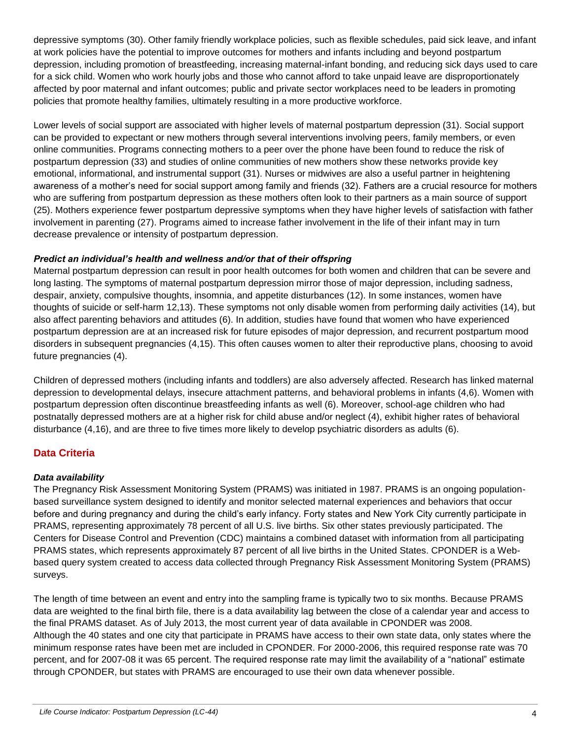depressive symptoms (30). Other family friendly workplace policies, such as flexible schedules, paid sick leave, and infant at work policies have the potential to improve outcomes for mothers and infants including and beyond postpartum depression, including promotion of breastfeeding, increasing maternal-infant bonding, and reducing sick days used to care for a sick child. Women who work hourly jobs and those who cannot afford to take unpaid leave are disproportionately affected by poor maternal and infant outcomes; public and private sector workplaces need to be leaders in promoting policies that promote healthy families, ultimately resulting in a more productive workforce.

Lower levels of social support are associated with higher levels of maternal postpartum depression (31). Social support can be provided to expectant or new mothers through several interventions involving peers, family members, or even online communities. Programs connecting mothers to a peer over the phone have been found to reduce the risk of postpartum depression (33) and studies of online communities of new mothers show these networks provide key emotional, informational, and instrumental support (31). Nurses or midwives are also a useful partner in heightening awareness of a mother's need for social support among family and friends (32). Fathers are a crucial resource for mothers who are suffering from postpartum depression as these mothers often look to their partners as a main source of support (25). Mothers experience fewer postpartum depressive symptoms when they have higher levels of satisfaction with father involvement in parenting (27). Programs aimed to increase father involvement in the life of their infant may in turn decrease prevalence or intensity of postpartum depression.

#### *Predict an individual's health and wellness and/or that of their offspring*

Maternal postpartum depression can result in poor health outcomes for both women and children that can be severe and long lasting. The symptoms of maternal postpartum depression mirror those of major depression, including sadness, despair, anxiety, compulsive thoughts, insomnia, and appetite disturbances (12). In some instances, women have thoughts of suicide or self-harm 12,13). These symptoms not only disable women from performing daily activities (14), but also affect parenting behaviors and attitudes (6). In addition, studies have found that women who have experienced postpartum depression are at an increased risk for future episodes of major depression, and recurrent postpartum mood disorders in subsequent pregnancies (4,15). This often causes women to alter their reproductive plans, choosing to avoid future pregnancies (4).

Children of depressed mothers (including infants and toddlers) are also adversely affected. Research has linked maternal depression to developmental delays, insecure attachment patterns, and behavioral problems in infants (4,6). Women with postpartum depression often discontinue breastfeeding infants as well (6). Moreover, school-age children who had postnatally depressed mothers are at a higher risk for child abuse and/or neglect (4), exhibit higher rates of behavioral disturbance (4,16), and are three to five times more likely to develop psychiatric disorders as adults (6).

#### **Data Criteria**

#### *Data availability*

The Pregnancy Risk Assessment Monitoring System (PRAMS) was initiated in 1987. PRAMS is an ongoing populationbased surveillance system designed to identify and monitor selected maternal experiences and behaviors that occur before and during pregnancy and during the child's early infancy. Forty states and New York City currently participate in PRAMS, representing approximately 78 percent of all U.S. live births. Six other states previously participated. The Centers for Disease Control and Prevention (CDC) maintains a combined dataset with information from all participating PRAMS states, which represents approximately 87 percent of all live births in the United States. CPONDER is a Webbased query system created to access data collected through Pregnancy Risk Assessment Monitoring System (PRAMS) surveys.

The length of time between an event and entry into the sampling frame is typically two to six months. Because PRAMS data are weighted to the final birth file, there is a data availability lag between the close of a calendar year and access to the final PRAMS dataset. As of July 2013, the most current year of data available in CPONDER was 2008. Although the 40 states and one city that participate in PRAMS have access to their own state data, only states where the minimum response rates have been met are included in CPONDER. For 2000-2006, this required response rate was 70 percent, and for 2007-08 it was 65 percent. The required response rate may limit the availability of a "national" estimate through CPONDER, but states with PRAMS are encouraged to use their own data whenever possible.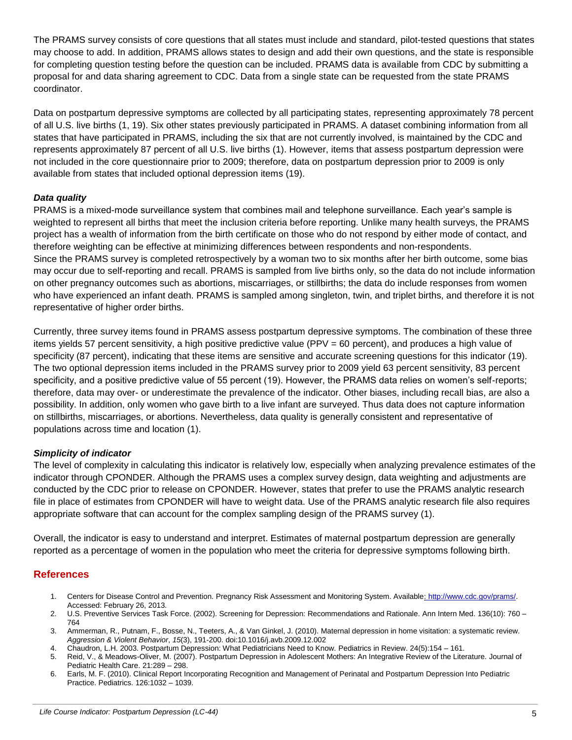The PRAMS survey consists of core questions that all states must include and standard, pilot-tested questions that states may choose to add. In addition, PRAMS allows states to design and add their own questions, and the state is responsible for completing question testing before the question can be included. PRAMS data is available from CDC by submitting a proposal for and data sharing agreement to CDC. Data from a single state can be requested from the state PRAMS coordinator.

Data on postpartum depressive symptoms are collected by all participating states, representing approximately 78 percent of all U.S. live births (1, 19). Six other states previously participated in PRAMS. A dataset combining information from all states that have participated in PRAMS, including the six that are not currently involved, is maintained by the CDC and represents approximately 87 percent of all U.S. live births (1). However, items that assess postpartum depression were not included in the core questionnaire prior to 2009; therefore, data on postpartum depression prior to 2009 is only available from states that included optional depression items (19).

#### *Data quality*

PRAMS is a mixed-mode surveillance system that combines mail and telephone surveillance. Each year's sample is weighted to represent all births that meet the inclusion criteria before reporting. Unlike many health surveys, the PRAMS project has a wealth of information from the birth certificate on those who do not respond by either mode of contact, and therefore weighting can be effective at minimizing differences between respondents and non-respondents. Since the PRAMS survey is completed retrospectively by a woman two to six months after her birth outcome, some bias may occur due to self-reporting and recall. PRAMS is sampled from live births only, so the data do not include information on other pregnancy outcomes such as abortions, miscarriages, or stillbirths; the data do include responses from women who have experienced an infant death. PRAMS is sampled among singleton, twin, and triplet births, and therefore it is not representative of higher order births.

Currently, three survey items found in PRAMS assess postpartum depressive symptoms. The combination of these three items yields 57 percent sensitivity, a high positive predictive value (PPV = 60 percent), and produces a high value of specificity (87 percent), indicating that these items are sensitive and accurate screening questions for this indicator (19). The two optional depression items included in the PRAMS survey prior to 2009 yield 63 percent sensitivity, 83 percent specificity, and a positive predictive value of 55 percent (19). However, the PRAMS data relies on women's self-reports; therefore, data may over- or underestimate the prevalence of the indicator. Other biases, including recall bias, are also a possibility. In addition, only women who gave birth to a live infant are surveyed. Thus data does not capture information on stillbirths, miscarriages, or abortions. Nevertheless, data quality is generally consistent and representative of populations across time and location (1).

#### *Simplicity of indicator*

The level of complexity in calculating this indicator is relatively low, especially when analyzing prevalence estimates of the indicator through CPONDER. Although the PRAMS uses a complex survey design, data weighting and adjustments are conducted by the CDC prior to release on CPONDER. However, states that prefer to use the PRAMS analytic research file in place of estimates from CPONDER will have to weight data. Use of the PRAMS analytic research file also requires appropriate software that can account for the complex sampling design of the PRAMS survey (1).

Overall, the indicator is easy to understand and interpret. Estimates of maternal postpartum depression are generally reported as a percentage of women in the population who meet the criteria for depressive symptoms following birth.

#### **References**

- 1. Centers for Disease Control and Prevention. Pregnancy Risk Assessment and Monitoring System. Available: [http://www.cdc.gov/prams/.](http://www.cdc.gov/prams/) Accessed: February 26, 2013.
- 2. U.S. Preventive Services Task Force. (2002). Screening for Depression: Recommendations and Rationale. Ann Intern Med. 136(10): 760 764
- 3. Ammerman, R., Putnam, F., Bosse, N., Teeters, A., & Van Ginkel, J. (2010). Maternal depression in home visitation: a systematic review. *Aggression & Violent Behavior*, *15*(3), 191-200. doi:10.1016/j.avb.2009.12.002
- 4. Chaudron, L.H. 2003. Postpartum Depression: What Pediatricians Need to Know. Pediatrics in Review. 24(5):154 161.
- 5. Reid, V., & Meadows-Oliver, M. (2007). Postpartum Depression in Adolescent Mothers: An Integrative Review of the Literature. Journal of Pediatric Health Care. 21:289 – 298.
- 6. Earls, M. F. (2010). Clinical Report Incorporating Recognition and Management of Perinatal and Postpartum Depression Into Pediatric Practice. Pediatrics. 126:1032 – 1039.